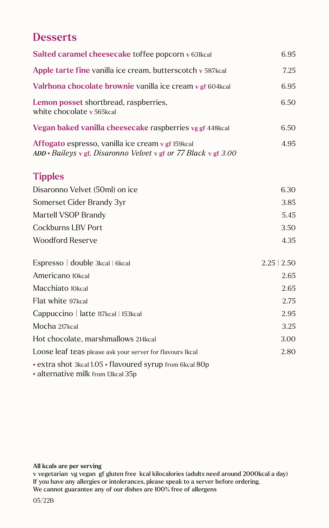## **Desserts**

| Salted caramel cheesecake toffee popcorn v 631kcal                                                                         | 6.95             |
|----------------------------------------------------------------------------------------------------------------------------|------------------|
| Apple tarte fine vanilla ice cream, butterscotch v 587kcal                                                                 | 7.25             |
| Valrhona chocolate brownie vanilla ice cream v gf 604 kcal                                                                 | 6.95             |
| Lemon posset shortbread, raspberries,<br>white chocolate v 565kcal                                                         | 6.50             |
| Vegan baked vanilla cheesecake raspberries vg gf 448kcal                                                                   | 6.50             |
| Affogato espresso, vanilla ice cream v gf 159kcal<br>$ADD * Baileys \vee gf$ , Disaronno Velvet v gf or 77 Black v gf 3.00 | 4.95             |
| <b>Tipples</b>                                                                                                             |                  |
| Disaronno Velvet (50ml) on ice                                                                                             | 6.30             |
| Somerset Cider Brandy 3yr                                                                                                  | 3.85             |
| Martell VSOP Brandy                                                                                                        | 5.45             |
| <b>Cockburns LBV Port</b>                                                                                                  | 3.50             |
| <b>Woodford Reserve</b>                                                                                                    | 4.35             |
| Espresso   double 3kcal   6kcal                                                                                            | $2.25 \mid 2.50$ |
| Americano 10kcal                                                                                                           | 2.65             |
| Macchiato 10kcal                                                                                                           | 2.65             |
| Flat white 97kcal                                                                                                          | 2.75             |
| Cappuccino   latte 117kcal   153kcal                                                                                       | 2.95             |
| Mocha 217kcal                                                                                                              | 3.25             |
| Hot chocolate, marshmallows 214kcal                                                                                        | 3.00             |
| Loose leaf teas please ask your server for flavours 1kcal                                                                  | 2.80             |
| • extra shot 3kcal 1.05 • flavoured syrup from 6kcal 80p<br>• alternative milk from 13kcal 35p                             |                  |

## All kcals are per serving

v vegetarian vg vegan gf gluten free kcal kilocalories (adults need around 2000kcal a day) If you have any allergies or intolerances, please speak to a server before ordering. We cannot guarantee any of our dishes are 100% free of allergens